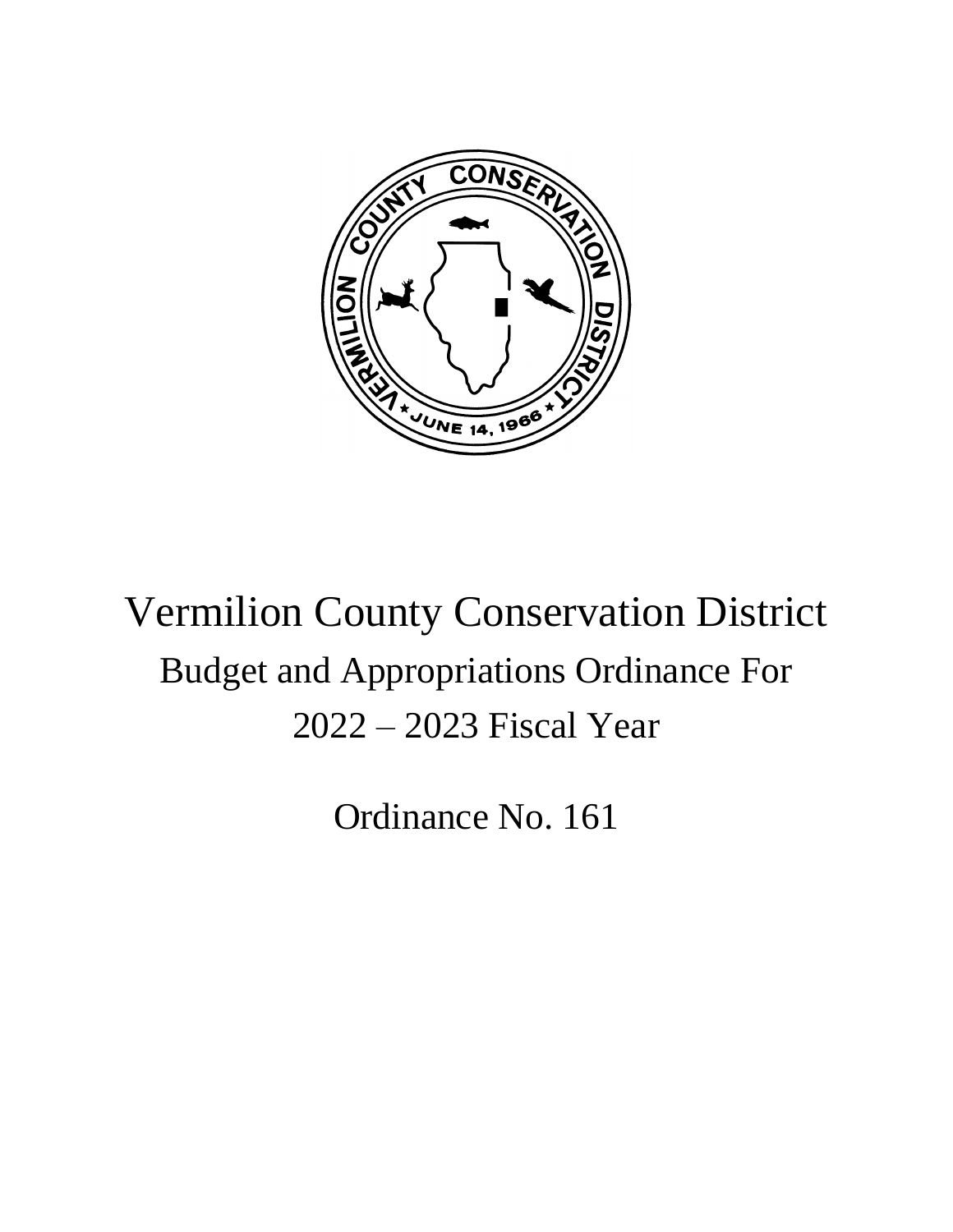

# Vermilion County Conservation District Budget and Appropriations Ordinance For 2022 – 2023 Fiscal Year

Ordinance No. 161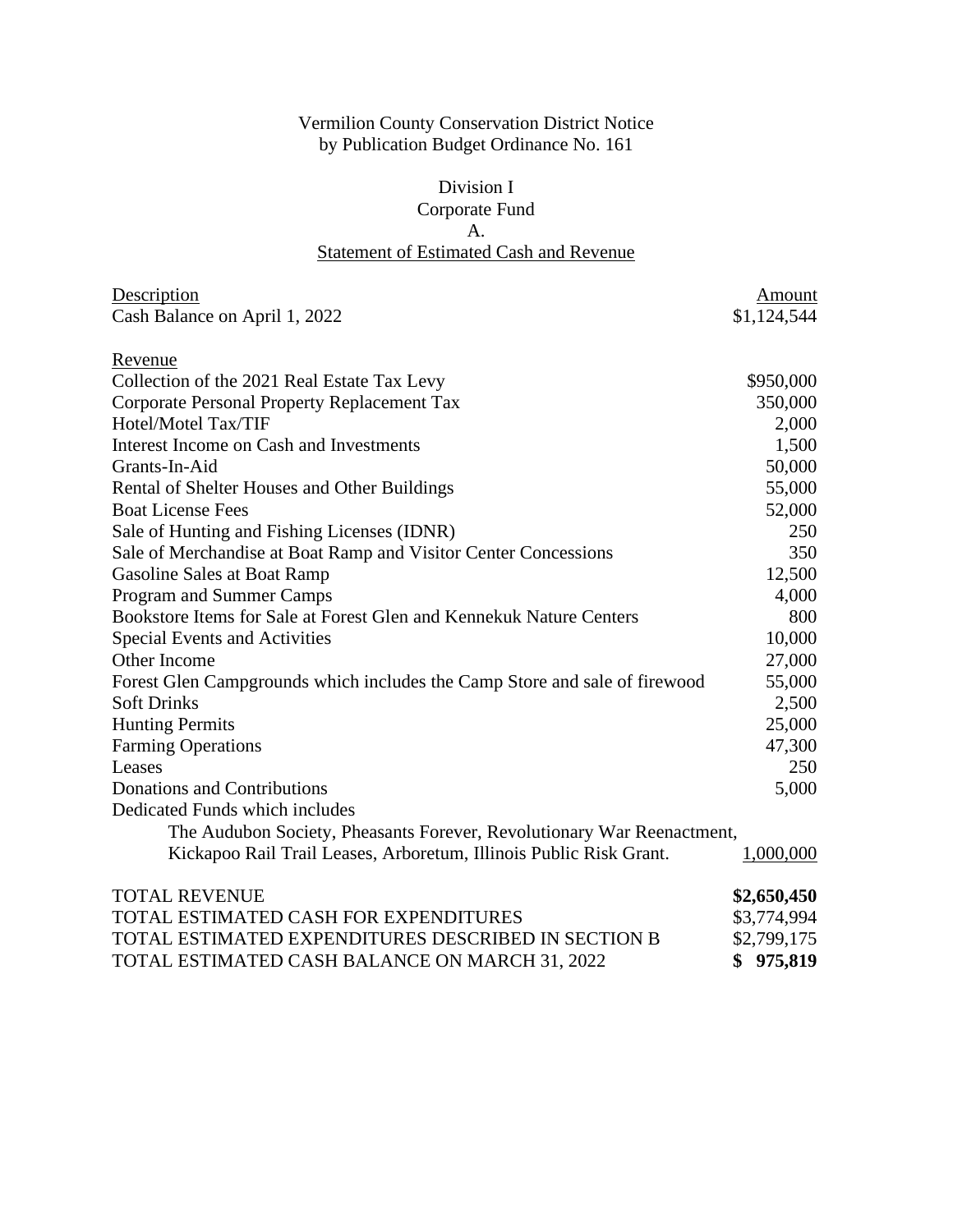## Vermilion County Conservation District Notice by Publication Budget Ordinance No. 161

## Division I Corporate Fund A. Statement of Estimated Cash and Revenue

| Description                                                                | Amount        |
|----------------------------------------------------------------------------|---------------|
| Cash Balance on April 1, 2022                                              | \$1,124,544   |
| Revenue                                                                    |               |
| Collection of the 2021 Real Estate Tax Levy                                | \$950,000     |
| Corporate Personal Property Replacement Tax                                | 350,000       |
| Hotel/Motel Tax/TIF                                                        | 2,000         |
| Interest Income on Cash and Investments                                    | 1,500         |
| Grants-In-Aid                                                              | 50,000        |
| Rental of Shelter Houses and Other Buildings                               | 55,000        |
| <b>Boat License Fees</b>                                                   | 52,000        |
| Sale of Hunting and Fishing Licenses (IDNR)                                | 250           |
| Sale of Merchandise at Boat Ramp and Visitor Center Concessions            | 350           |
| <b>Gasoline Sales at Boat Ramp</b>                                         | 12,500        |
| Program and Summer Camps                                                   | 4,000         |
| Bookstore Items for Sale at Forest Glen and Kennekuk Nature Centers        | 800           |
| Special Events and Activities                                              | 10,000        |
| Other Income                                                               | 27,000        |
| Forest Glen Campgrounds which includes the Camp Store and sale of firewood | 55,000        |
| <b>Soft Drinks</b>                                                         | 2,500         |
| <b>Hunting Permits</b>                                                     | 25,000        |
| <b>Farming Operations</b>                                                  | 47,300        |
| Leases                                                                     | 250           |
| <b>Donations and Contributions</b>                                         | 5,000         |
| Dedicated Funds which includes                                             |               |
| The Audubon Society, Pheasants Forever, Revolutionary War Reenactment,     |               |
| Kickapoo Rail Trail Leases, Arboretum, Illinois Public Risk Grant.         | 1,000,000     |
| <b>TOTAL REVENUE</b>                                                       | \$2,650,450   |
| TOTAL ESTIMATED CASH FOR EXPENDITURES                                      | \$3,774,994   |
| TOTAL ESTIMATED EXPENDITURES DESCRIBED IN SECTION B                        | \$2,799,175   |
| TOTAL ESTIMATED CASH BALANCE ON MARCH 31, 2022                             | \$<br>975,819 |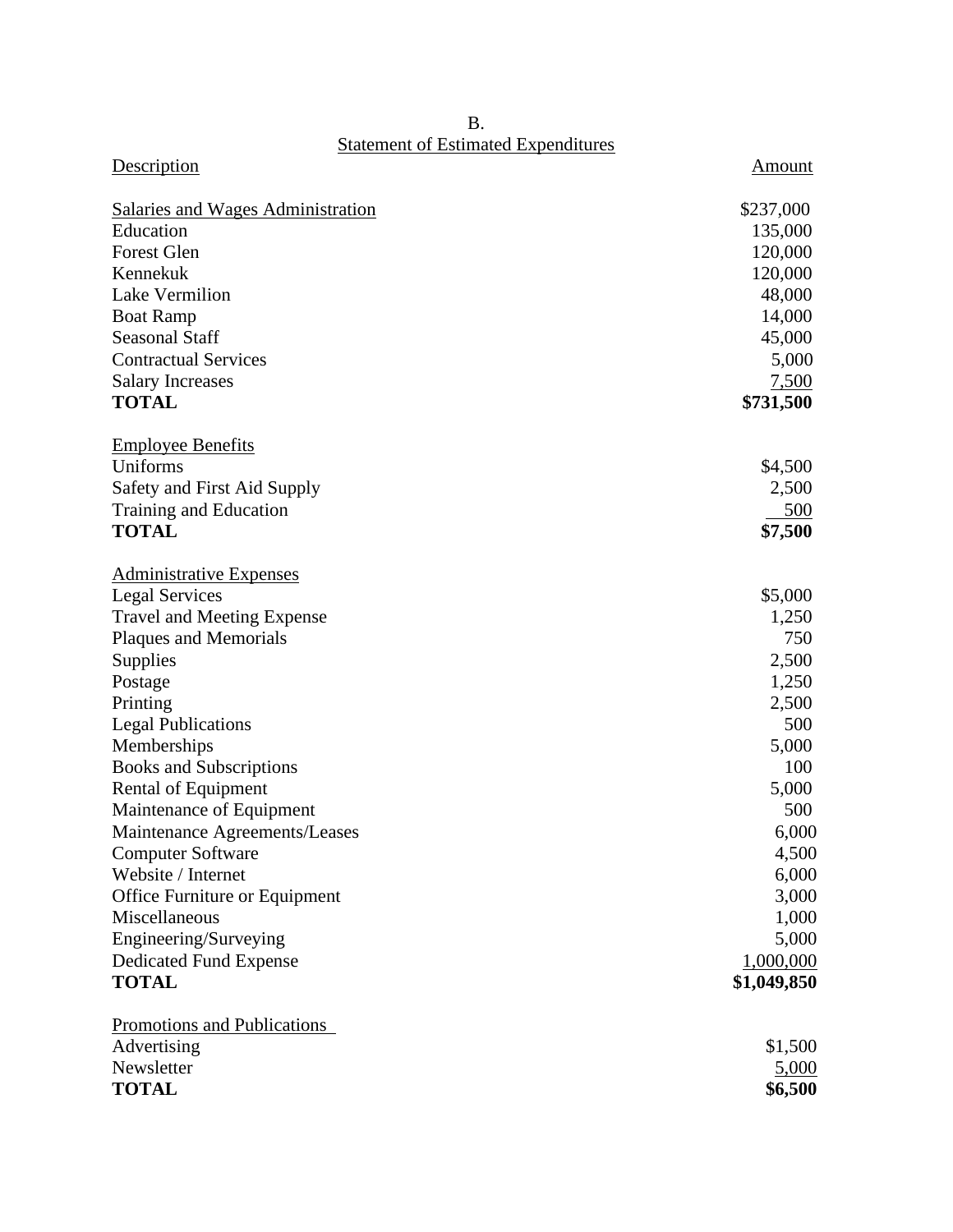**Statement of Estimated Expenditures** 

| <u>Statement of Estimated Expenditures</u> |             |
|--------------------------------------------|-------------|
| Description                                | Amount      |
| <b>Salaries and Wages Administration</b>   | \$237,000   |
| Education                                  | 135,000     |
| <b>Forest Glen</b>                         | 120,000     |
| Kennekuk                                   | 120,000     |
| <b>Lake Vermilion</b>                      | 48,000      |
| <b>Boat Ramp</b>                           | 14,000      |
| <b>Seasonal Staff</b>                      | 45,000      |
| <b>Contractual Services</b>                | 5,000       |
| <b>Salary Increases</b>                    | 7,500       |
| <b>TOTAL</b>                               | \$731,500   |
| <b>Employee Benefits</b>                   |             |
| Uniforms                                   | \$4,500     |
| Safety and First Aid Supply                | 2,500       |
| Training and Education                     | 500         |
| <b>TOTAL</b>                               | \$7,500     |
| <b>Administrative Expenses</b>             |             |
| <b>Legal Services</b>                      | \$5,000     |
| <b>Travel and Meeting Expense</b>          | 1,250       |
| Plaques and Memorials                      | 750         |
| Supplies                                   | 2,500       |
| Postage                                    | 1,250       |
| Printing                                   | 2,500       |
| <b>Legal Publications</b>                  | 500         |
| Memberships                                | 5,000       |
| <b>Books and Subscriptions</b>             | 100         |
| <b>Rental of Equipment</b>                 | 5,000       |
| Maintenance of Equipment                   | 500         |
| Maintenance Agreements/Leases              | 6,000       |
| <b>Computer Software</b>                   | 4,500       |
| Website / Internet                         | 6,000       |
| Office Furniture or Equipment              | 3,000       |
| Miscellaneous                              | 1,000       |
| Engineering/Surveying                      | 5,000       |
| <b>Dedicated Fund Expense</b>              | 1,000,000   |
| <b>TOTAL</b>                               | \$1,049,850 |
| <b>Promotions and Publications</b>         |             |
| Advertising                                | \$1,500     |
| Newsletter                                 | 5,000       |
| <b>TOTAL</b>                               | \$6,500     |

B.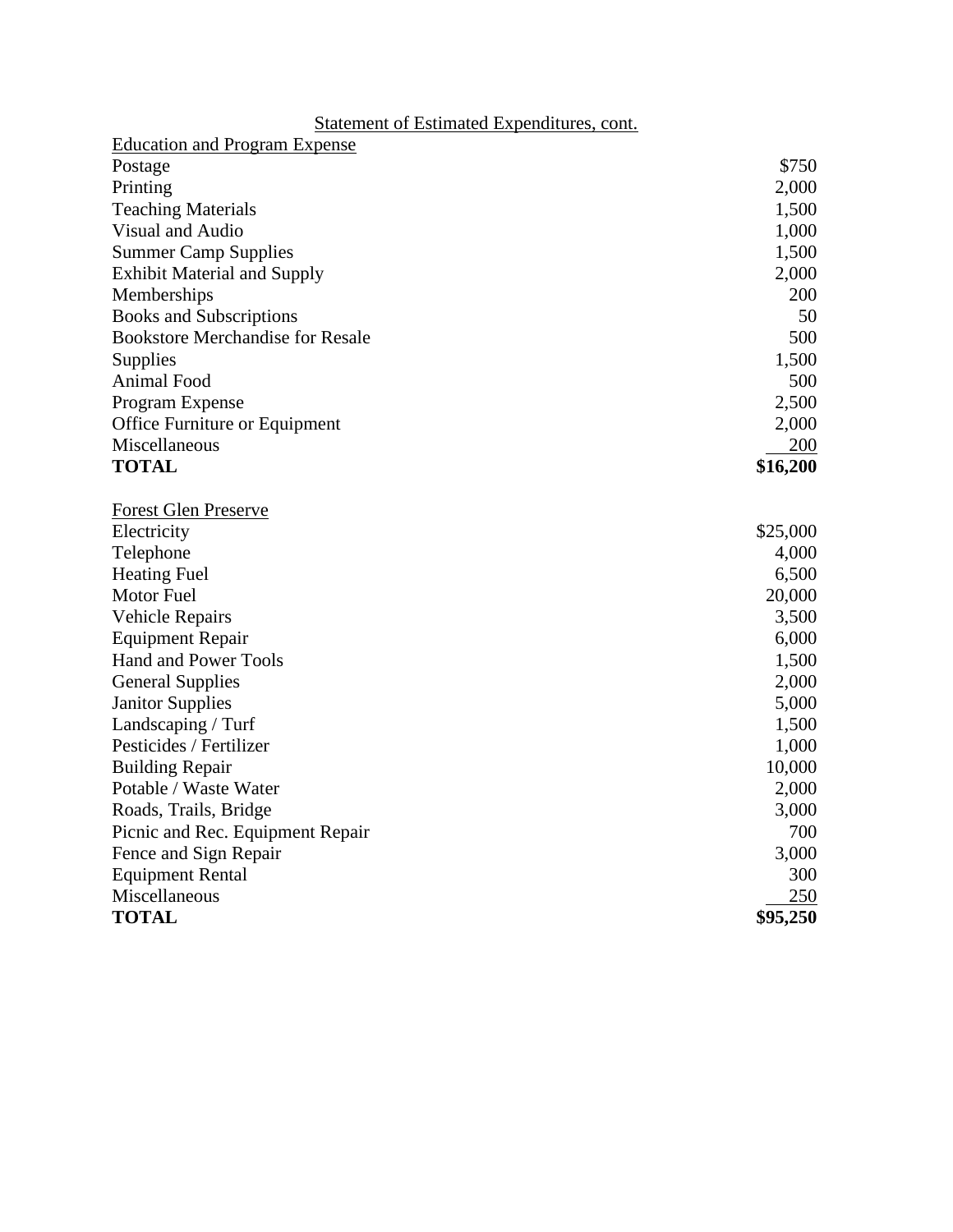| Statement of Estimated Expenditures, cont. |          |
|--------------------------------------------|----------|
| <b>Education and Program Expense</b>       |          |
| Postage                                    | \$750    |
| Printing                                   | 2,000    |
| <b>Teaching Materials</b>                  | 1,500    |
| Visual and Audio                           | 1,000    |
| <b>Summer Camp Supplies</b>                | 1,500    |
| <b>Exhibit Material and Supply</b>         | 2,000    |
| Memberships                                | 200      |
| <b>Books and Subscriptions</b>             | 50       |
| <b>Bookstore Merchandise for Resale</b>    | 500      |
| Supplies                                   | 1,500    |
| Animal Food                                | 500      |
| Program Expense                            | 2,500    |
| Office Furniture or Equipment              | 2,000    |
| Miscellaneous                              | 200      |
| <b>TOTAL</b>                               | \$16,200 |
| <b>Forest Glen Preserve</b>                |          |
| Electricity                                | \$25,000 |
| Telephone                                  | 4,000    |
| <b>Heating Fuel</b>                        | 6,500    |
| Motor Fuel                                 | 20,000   |
| <b>Vehicle Repairs</b>                     | 3,500    |
| <b>Equipment Repair</b>                    | 6,000    |
| <b>Hand and Power Tools</b>                | 1,500    |
| <b>General Supplies</b>                    | 2,000    |
| <b>Janitor Supplies</b>                    | 5,000    |
| Landscaping / Turf                         | 1,500    |
| Pesticides / Fertilizer                    | 1,000    |
| <b>Building Repair</b>                     | 10,000   |
| Potable / Waste Water                      | 2,000    |
| Roads, Trails, Bridge                      | 3,000    |
| Picnic and Rec. Equipment Repair           | 700      |
| Fence and Sign Repair                      | 3,000    |
| <b>Equipment Rental</b>                    | 300      |
| Miscellaneous                              | 250      |
| <b>TOTAL</b>                               | \$95,250 |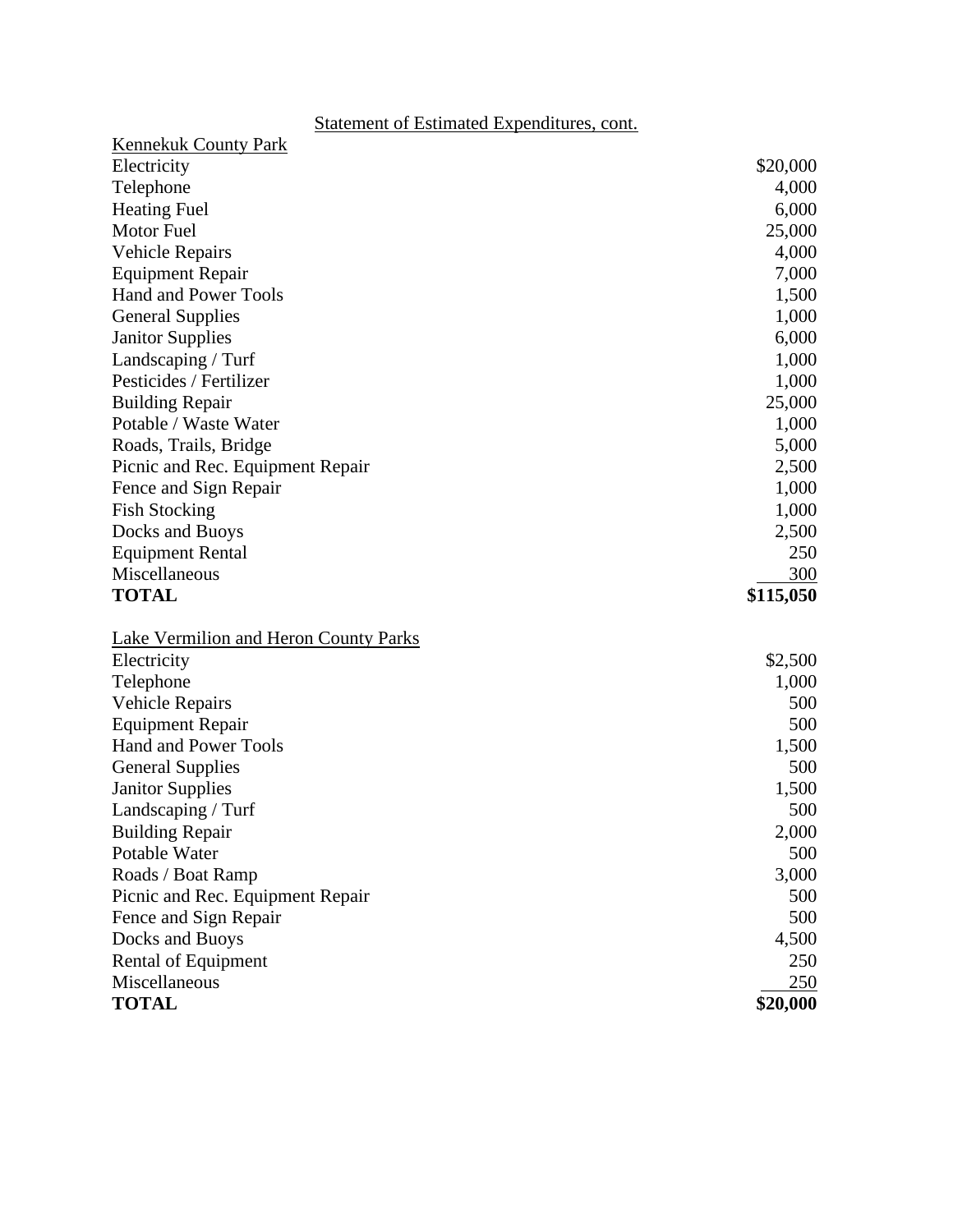| \$20,000<br>4,000<br>6,000<br>25,000<br>4,000<br>7,000<br>1,500 |
|-----------------------------------------------------------------|
|                                                                 |
|                                                                 |
|                                                                 |
|                                                                 |
|                                                                 |
|                                                                 |
|                                                                 |
|                                                                 |
| 1,000                                                           |
| 6,000                                                           |
| 1,000                                                           |
| 1,000                                                           |
| 25,000                                                          |
| 1,000                                                           |
| 5,000                                                           |
| 2,500                                                           |
| 1,000                                                           |
| 1,000                                                           |
| 2,500                                                           |
| 250                                                             |
| 300                                                             |
| \$115,050                                                       |
|                                                                 |
| \$2,500                                                         |
| 1,000                                                           |
| 500                                                             |
| 500                                                             |
| 1,500                                                           |
| 500                                                             |
| 1,500                                                           |
| 500                                                             |
| 2,000                                                           |
| 500                                                             |
| 3,000                                                           |
| 500                                                             |
|                                                                 |
|                                                                 |
| 500                                                             |
| 4,500<br>250                                                    |
| 250                                                             |
|                                                                 |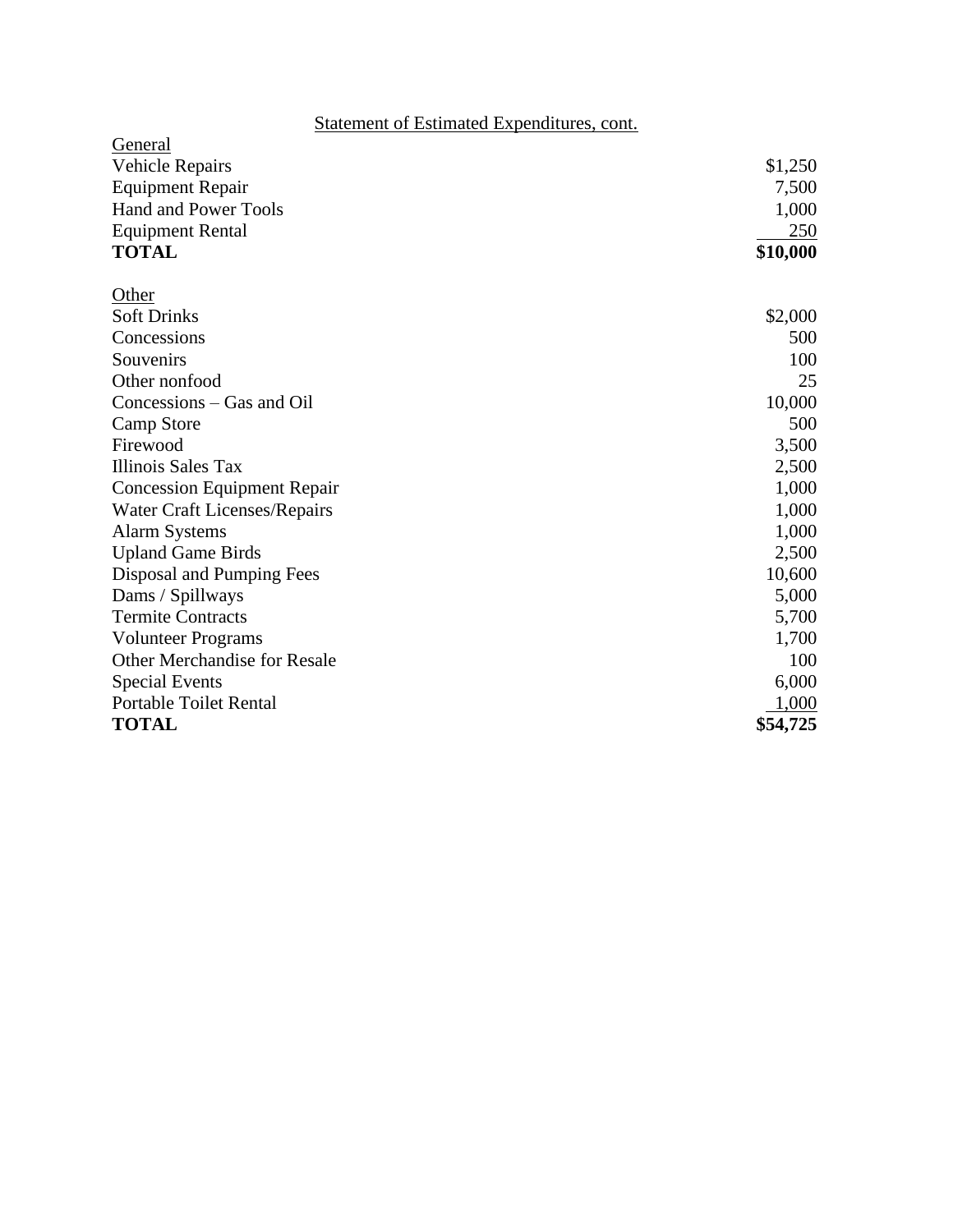| General                             |          |
|-------------------------------------|----------|
| Vehicle Repairs                     | \$1,250  |
| <b>Equipment Repair</b>             | 7,500    |
| <b>Hand and Power Tools</b>         | 1,000    |
| <b>Equipment Rental</b>             | 250      |
| <b>TOTAL</b>                        | \$10,000 |
| Other                               |          |
| <b>Soft Drinks</b>                  | \$2,000  |
| Concessions                         | 500      |
| Souvenirs                           | 100      |
| Other nonfood                       | 25       |
| Concessions – Gas and Oil           | 10,000   |
| Camp Store                          | 500      |
| Firewood                            | 3,500    |
| Illinois Sales Tax                  | 2,500    |
| <b>Concession Equipment Repair</b>  | 1,000    |
| <b>Water Craft Licenses/Repairs</b> | 1,000    |
| <b>Alarm Systems</b>                | 1,000    |
| <b>Upland Game Birds</b>            | 2,500    |
| Disposal and Pumping Fees           | 10,600   |
| Dams / Spillways                    | 5,000    |
| <b>Termite Contracts</b>            | 5,700    |
| <b>Volunteer Programs</b>           | 1,700    |
| <b>Other Merchandise for Resale</b> | 100      |
| <b>Special Events</b>               | 6,000    |
| <b>Portable Toilet Rental</b>       | 1,000    |
| <b>TOTAL</b>                        | \$54,725 |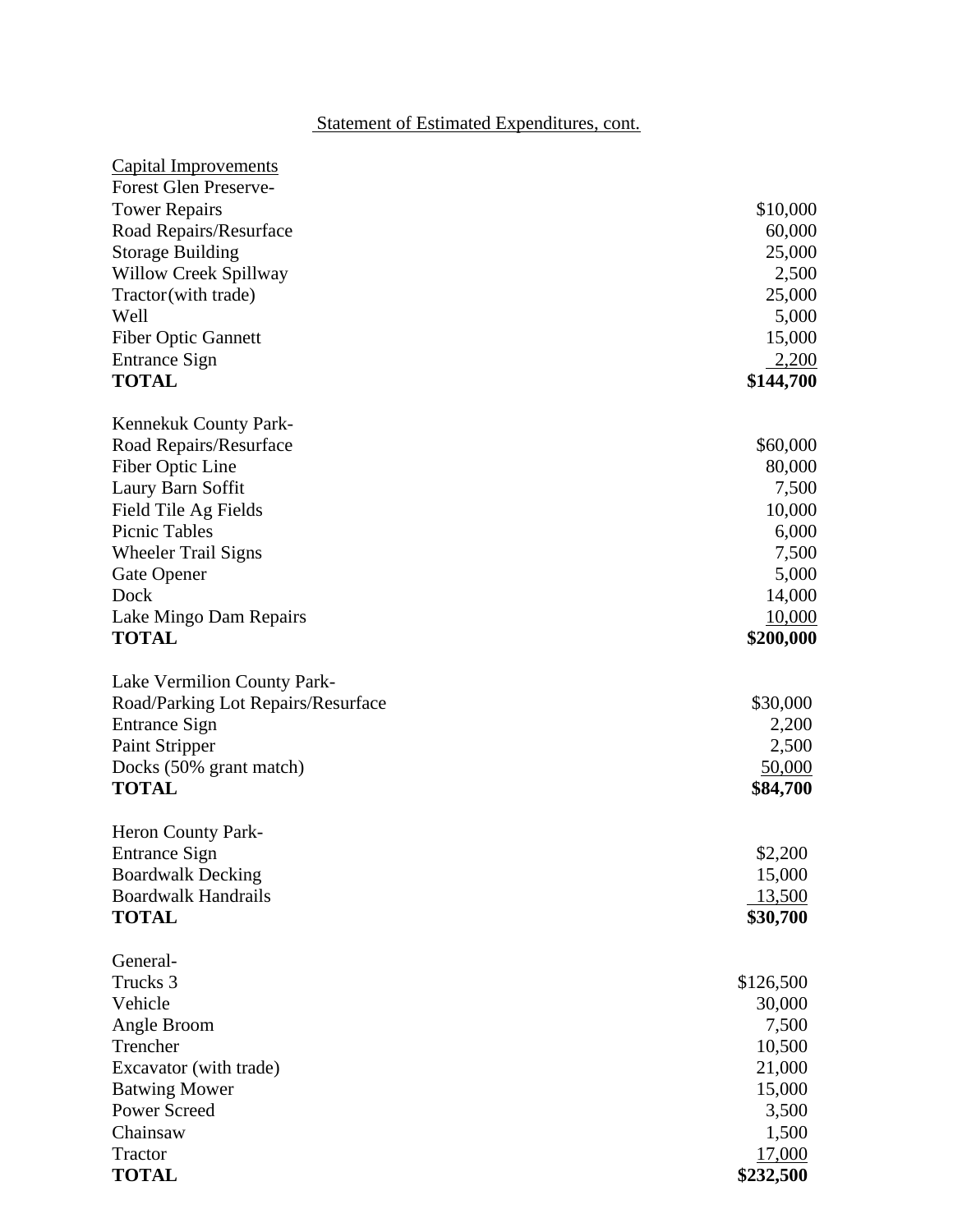| <b>Capital Improvements</b>        |           |
|------------------------------------|-----------|
| <b>Forest Glen Preserve-</b>       |           |
| <b>Tower Repairs</b>               | \$10,000  |
| Road Repairs/Resurface             | 60,000    |
| <b>Storage Building</b>            | 25,000    |
| Willow Creek Spillway              | 2,500     |
| Tractor (with trade)               | 25,000    |
| Well                               | 5,000     |
| <b>Fiber Optic Gannett</b>         | 15,000    |
| <b>Entrance Sign</b>               | 2,200     |
| <b>TOTAL</b>                       | \$144,700 |
| Kennekuk County Park-              |           |
| Road Repairs/Resurface             | \$60,000  |
| Fiber Optic Line                   | 80,000    |
| Laury Barn Soffit                  | 7,500     |
| Field Tile Ag Fields               | 10,000    |
| <b>Picnic Tables</b>               | 6,000     |
| <b>Wheeler Trail Signs</b>         | 7,500     |
| Gate Opener                        | 5,000     |
| Dock                               | 14,000    |
| Lake Mingo Dam Repairs             | 10,000    |
| <b>TOTAL</b>                       | \$200,000 |
| Lake Vermilion County Park-        |           |
| Road/Parking Lot Repairs/Resurface | \$30,000  |
| <b>Entrance Sign</b>               | 2,200     |
| Paint Stripper                     | 2,500     |
| Docks (50% grant match)            | 50,000    |
| <b>TOTAL</b>                       | \$84,700  |
| Heron County Park-                 |           |
| <b>Entrance Sign</b>               | \$2,200   |
| <b>Boardwalk Decking</b>           | 15,000    |
| <b>Boardwalk Handrails</b>         | 13,500    |
| <b>TOTAL</b>                       | \$30,700  |
| General-                           |           |
| Trucks 3                           | \$126,500 |
| Vehicle                            | 30,000    |
| Angle Broom                        | 7,500     |
| Trencher                           | 10,500    |
| Excavator (with trade)             | 21,000    |
| <b>Batwing Mower</b>               | 15,000    |
| <b>Power Screed</b>                | 3,500     |
| Chainsaw                           | 1,500     |
| Tractor                            | 17,000    |
| <b>TOTAL</b>                       | \$232,500 |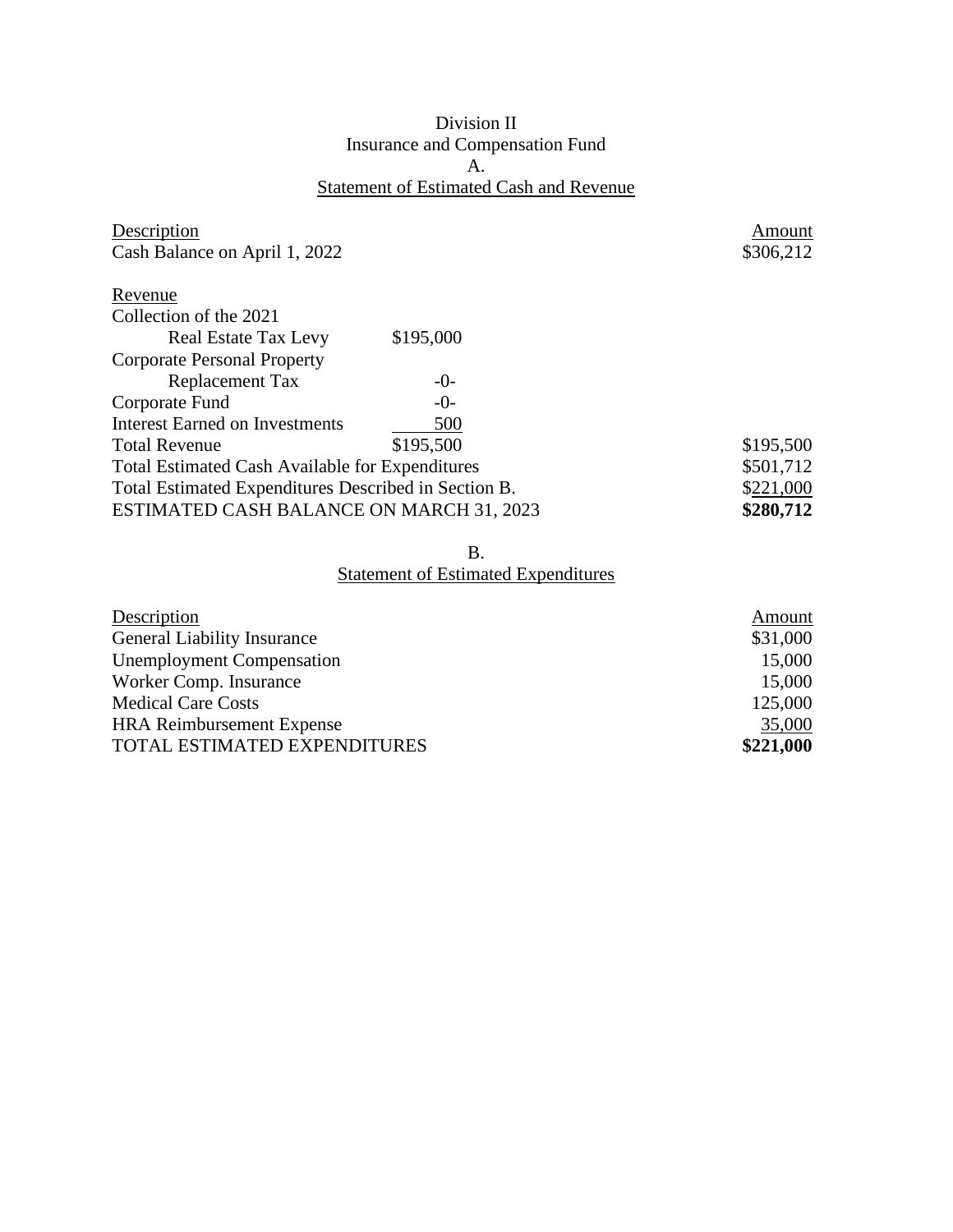## Division II Insurance and Compensation Fund A. Statement of Estimated Cash and Revenue

| Description                                            |           | Amount    |
|--------------------------------------------------------|-----------|-----------|
| Cash Balance on April 1, 2022                          |           | \$306,212 |
| Revenue                                                |           |           |
| Collection of the 2021                                 |           |           |
| <b>Real Estate Tax Levy</b>                            | \$195,000 |           |
| <b>Corporate Personal Property</b>                     |           |           |
| Replacement Tax                                        | $-()$ -   |           |
| Corporate Fund                                         | $-()$ -   |           |
| <b>Interest Earned on Investments</b>                  | 500       |           |
| <b>Total Revenue</b>                                   | \$195,500 | \$195,500 |
| <b>Total Estimated Cash Available for Expenditures</b> |           | \$501,712 |
| Total Estimated Expenditures Described in Section B.   |           | \$221,000 |
| ESTIMATED CASH BALANCE ON MARCH 31, 2023               |           | \$280,712 |

#### B.

| Description                        | Amount    |
|------------------------------------|-----------|
| <b>General Liability Insurance</b> | \$31,000  |
| <b>Unemployment Compensation</b>   | 15,000    |
| Worker Comp. Insurance             | 15,000    |
| <b>Medical Care Costs</b>          | 125,000   |
| <b>HRA Reimbursement Expense</b>   | 35,000    |
| TOTAL ESTIMATED EXPENDITURES       | \$221,000 |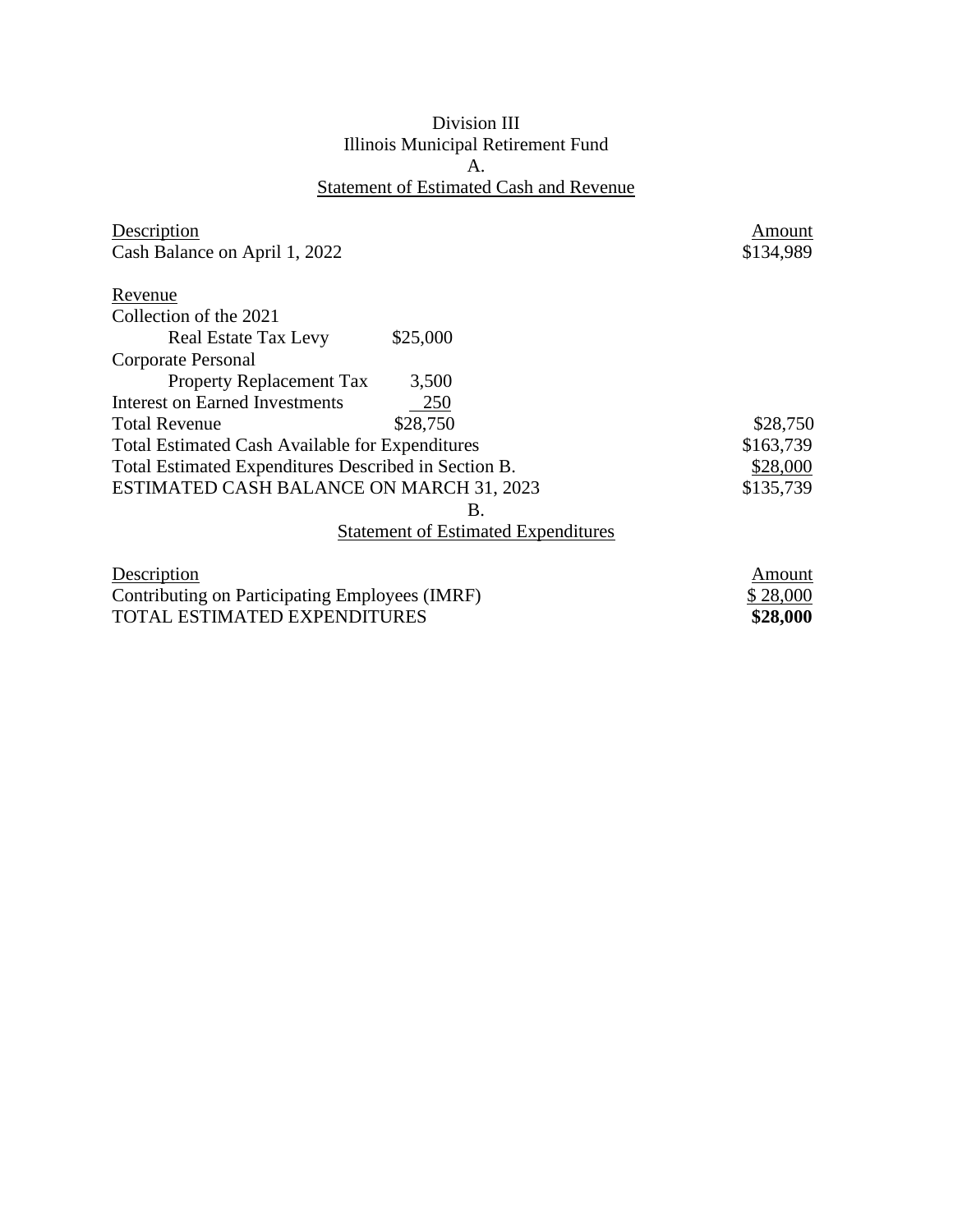## Division III Illinois Municipal Retirement Fund A. Statement of Estimated Cash and Revenue

| Description                                                                                      |                                            | Amount    |
|--------------------------------------------------------------------------------------------------|--------------------------------------------|-----------|
| Cash Balance on April 1, 2022                                                                    |                                            | \$134,989 |
| Revenue                                                                                          |                                            |           |
| Collection of the 2021                                                                           |                                            |           |
| <b>Real Estate Tax Levy</b>                                                                      | \$25,000                                   |           |
| Corporate Personal                                                                               |                                            |           |
| <b>Property Replacement Tax</b>                                                                  | 3,500                                      |           |
| <b>Interest on Earned Investments</b>                                                            | 250                                        |           |
| <b>Total Revenue</b>                                                                             | \$28,750                                   | \$28,750  |
| <b>Total Estimated Cash Available for Expenditures</b>                                           |                                            | \$163,739 |
| Total Estimated Expenditures Described in Section B.                                             |                                            | \$28,000  |
| ESTIMATED CASH BALANCE ON MARCH 31, 2023                                                         |                                            | \$135,739 |
|                                                                                                  | Β.                                         |           |
|                                                                                                  | <b>Statement of Estimated Expenditures</b> |           |
| Description                                                                                      |                                            | Amount    |
| $\sim$ $\sim$ $\sim$<br>$\mathbf{R}$ . $\mathbf{R}$ . $\mathbf{R}$ . $\mathbf{R}$ . $\mathbf{R}$ |                                            | ሐ ሷឹឹ ለለለ |

Contributing on Participating Employees (IMRF) \$ 28,000<br>TOTAL ESTIMATED EXPENDITURES \$28,000 TOTAL ESTIMATED EXPENDITURES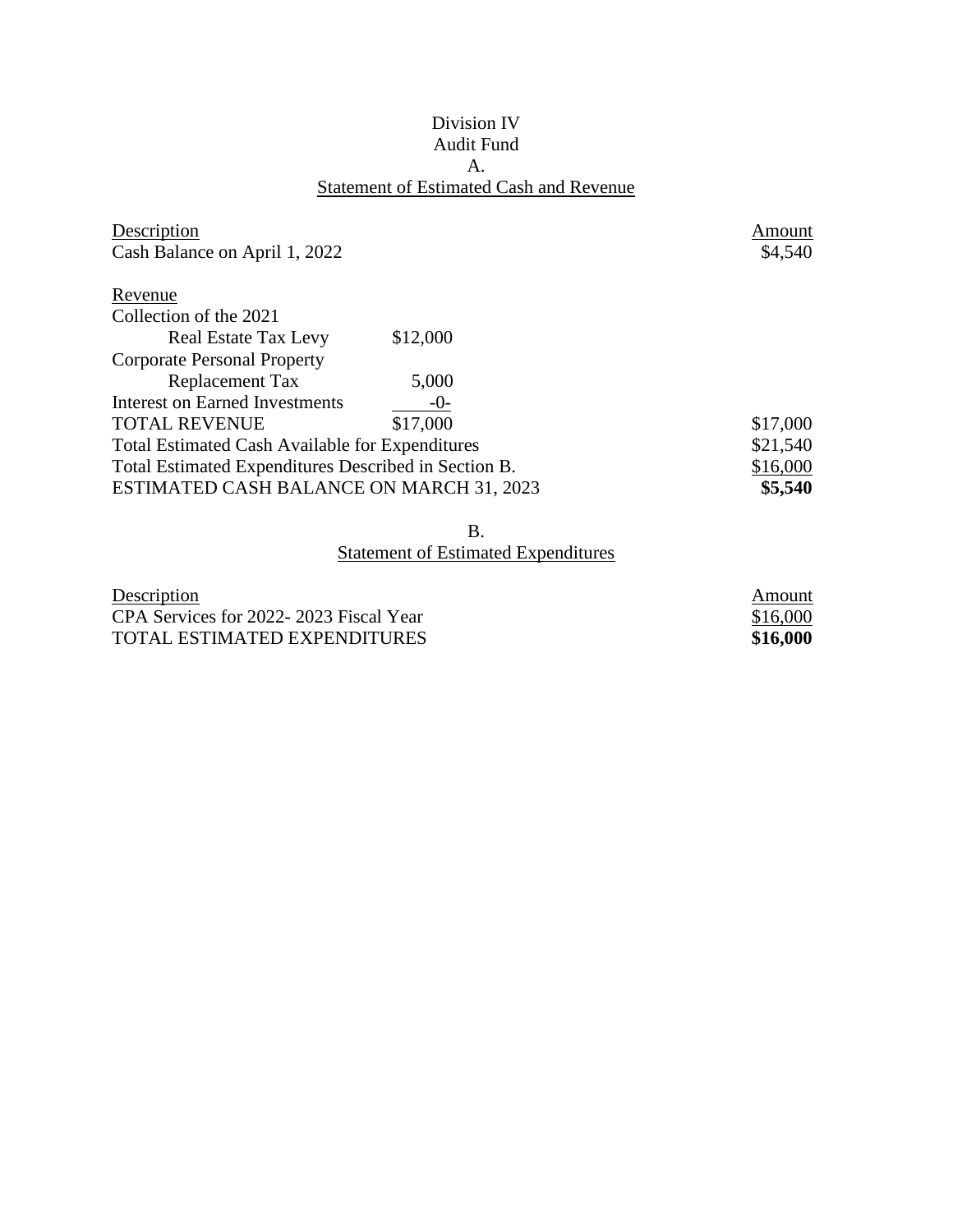## Division IV Audit Fund A. Statement of Estimated Cash and Revenue

| Description                                            |          | Amount   |
|--------------------------------------------------------|----------|----------|
| Cash Balance on April 1, 2022                          |          | \$4,540  |
| Revenue                                                |          |          |
| Collection of the 2021                                 |          |          |
| <b>Real Estate Tax Levy</b>                            | \$12,000 |          |
| <b>Corporate Personal Property</b>                     |          |          |
| Replacement Tax                                        | 5,000    |          |
| Interest on Earned Investments                         | $-0-$    |          |
| <b>TOTAL REVENUE</b>                                   | \$17,000 | \$17,000 |
| <b>Total Estimated Cash Available for Expenditures</b> |          | \$21,540 |
| Total Estimated Expenditures Described in Section B.   |          | \$16,000 |
| ESTIMATED CASH BALANCE ON MARCH 31, 2023               |          | \$5,540  |

B.

| Description                            | Amount   |
|----------------------------------------|----------|
| CPA Services for 2022-2023 Fiscal Year | \$16,000 |
| TOTAL ESTIMATED EXPENDITURES           | \$16,000 |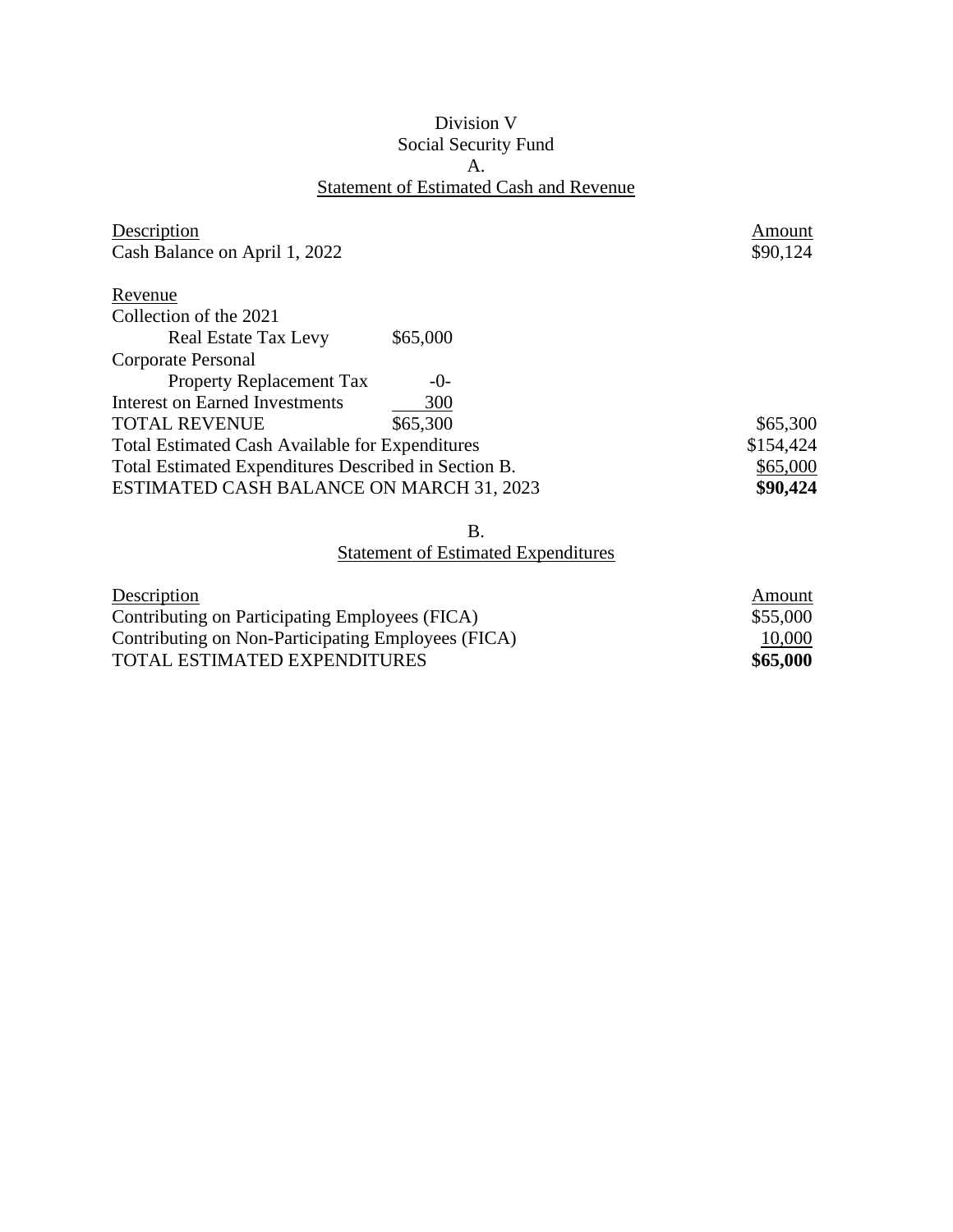## Division V Social Security Fund A. Statement of Estimated Cash and Revenue

| Description                                            |          | Amount    |
|--------------------------------------------------------|----------|-----------|
| Cash Balance on April 1, 2022                          |          | \$90,124  |
| Revenue                                                |          |           |
| Collection of the 2021                                 |          |           |
| <b>Real Estate Tax Levy</b>                            | \$65,000 |           |
| Corporate Personal                                     |          |           |
| <b>Property Replacement Tax</b>                        | $-()$    |           |
| Interest on Earned Investments                         | 300      |           |
| <b>TOTAL REVENUE</b>                                   | \$65,300 | \$65,300  |
| <b>Total Estimated Cash Available for Expenditures</b> |          | \$154,424 |
| Total Estimated Expenditures Described in Section B.   |          | \$65,000  |
| ESTIMATED CASH BALANCE ON MARCH 31, 2023               |          | \$90,424  |

B.

| Description                                        | Amount   |
|----------------------------------------------------|----------|
| Contributing on Participating Employees (FICA)     | \$55,000 |
| Contributing on Non-Participating Employees (FICA) | 10,000   |
| <b>TOTAL ESTIMATED EXPENDITURES</b>                | \$65,000 |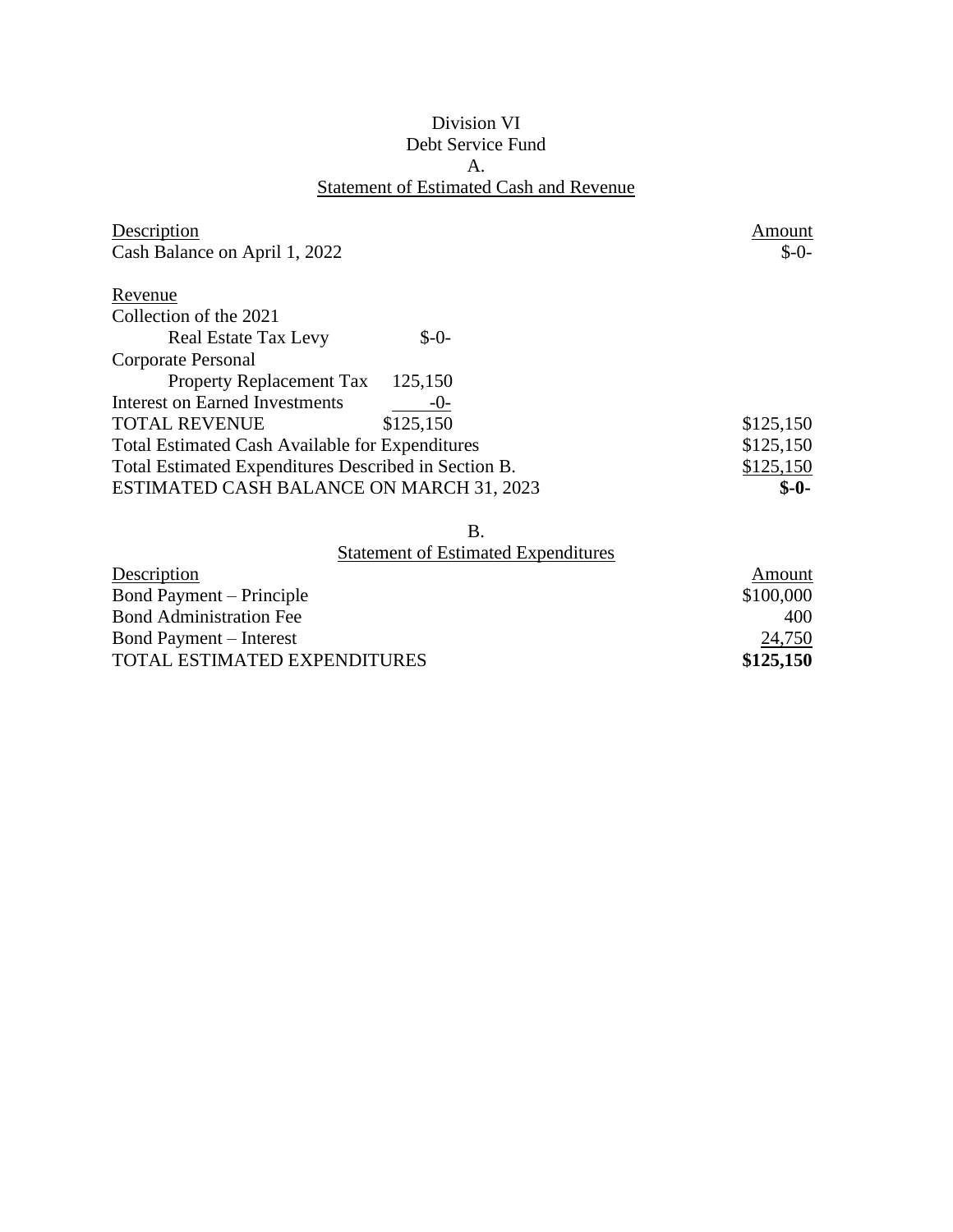## Division VI Debt Service Fund A. Statement of Estimated Cash and Revenue

| Description                                            |           | Amount    |
|--------------------------------------------------------|-----------|-----------|
| Cash Balance on April 1, 2022                          |           | $S-0-$    |
| Revenue                                                |           |           |
| Collection of the 2021                                 |           |           |
| <b>Real Estate Tax Levy</b>                            | $$-0-$    |           |
| Corporate Personal                                     |           |           |
| <b>Property Replacement Tax</b>                        | 125,150   |           |
| <b>Interest on Earned Investments</b>                  | $-0-$     |           |
| <b>TOTAL REVENUE</b>                                   | \$125,150 | \$125,150 |
| <b>Total Estimated Cash Available for Expenditures</b> |           | \$125,150 |
| Total Estimated Expenditures Described in Section B.   |           | \$125,150 |
| ESTIMATED CASH BALANCE ON MARCH 31, 2023               |           | $S-0-$    |

B.

| Amount    |
|-----------|
| \$100,000 |
| 400       |
| 24,750    |
| \$125,150 |
|           |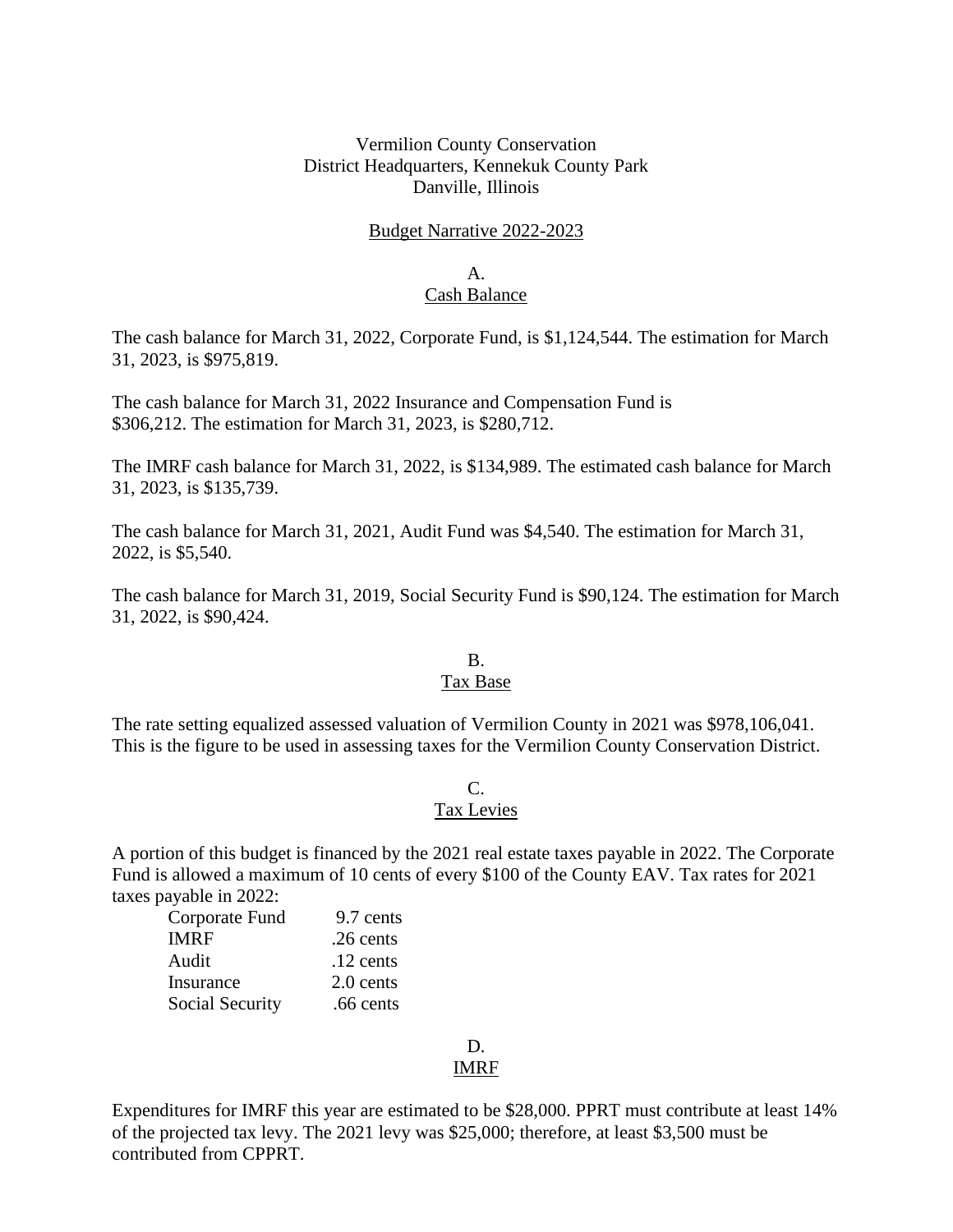## Vermilion County Conservation District Headquarters, Kennekuk County Park Danville, Illinois

#### Budget Narrative 2022-2023

#### A. Cash Balance

The cash balance for March 31, 2022, Corporate Fund, is \$1,124,544. The estimation for March 31, 2023, is \$975,819.

The cash balance for March 31, 2022 Insurance and Compensation Fund is \$306,212. The estimation for March 31, 2023, is \$280,712.

The IMRF cash balance for March 31, 2022, is \$134,989. The estimated cash balance for March 31, 2023, is \$135,739.

The cash balance for March 31, 2021, Audit Fund was \$4,540. The estimation for March 31, 2022, is \$5,540.

The cash balance for March 31, 2019, Social Security Fund is \$90,124. The estimation for March 31, 2022, is \$90,424.

#### B. Tax Base

The rate setting equalized assessed valuation of Vermilion County in 2021 was \$978,106,041. This is the figure to be used in assessing taxes for the Vermilion County Conservation District.

# C.

## Tax Levies

A portion of this budget is financed by the 2021 real estate taxes payable in 2022. The Corporate Fund is allowed a maximum of 10 cents of every \$100 of the County EAV. Tax rates for 2021 taxes payable in 2022:

| Corporate Fund         | 9.7 cents   |
|------------------------|-------------|
| IMRF                   | .26 cents   |
| Audit                  | $.12$ cents |
| Insurance              | 2.0 cents   |
| <b>Social Security</b> | .66 cents   |

# D.

## IMRF

Expenditures for IMRF this year are estimated to be \$28,000. PPRT must contribute at least 14% of the projected tax levy. The 2021 levy was \$25,000; therefore, at least \$3,500 must be contributed from CPPRT.